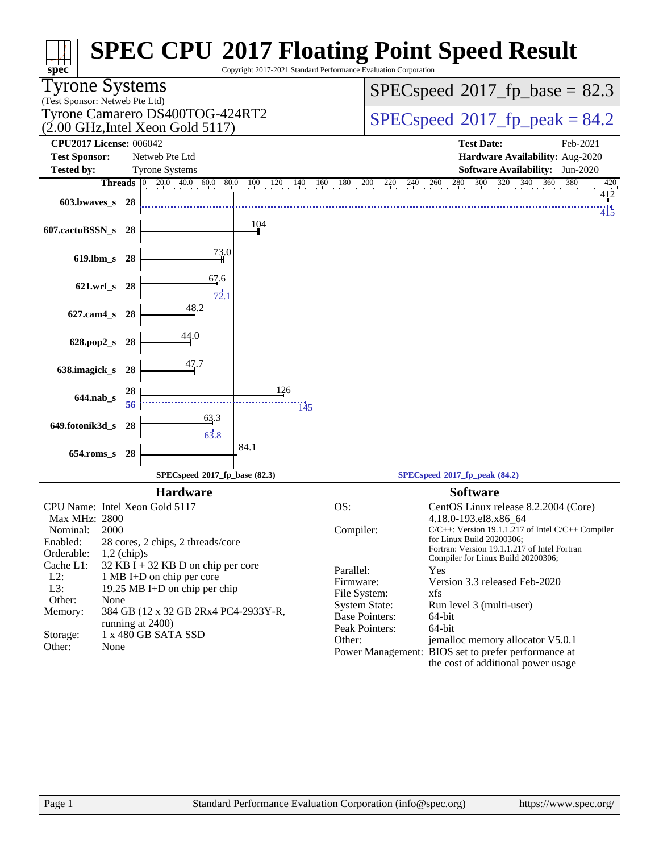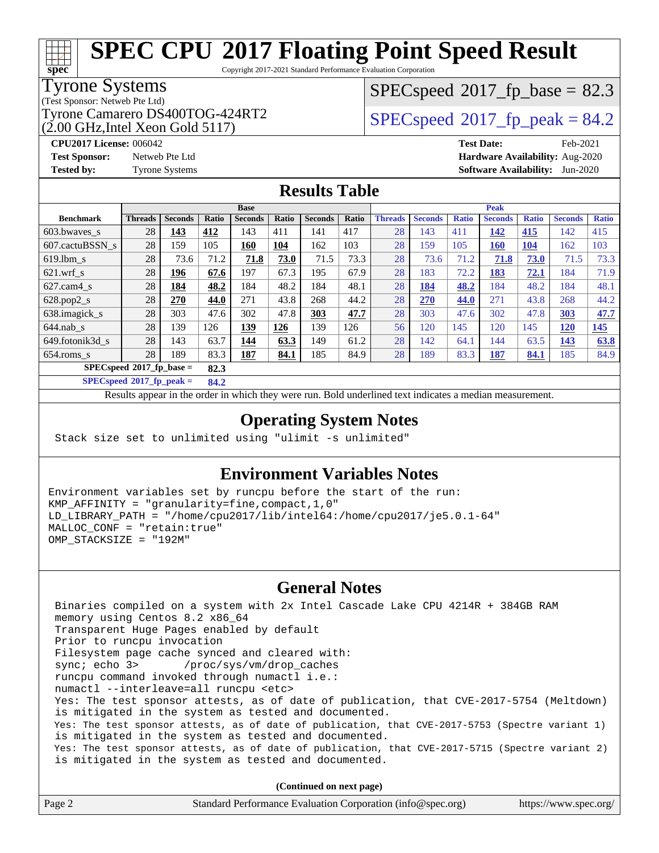Copyright 2017-2021 Standard Performance Evaluation Corporation

#### Tyrone Systems

**[spec](http://www.spec.org/)**

(Test Sponsor: Netweb Pte Ltd)

(2.00 GHz,Intel Xeon Gold 5117)

 $SPECspeed^{\circ}2017\_fp\_base = 82.3$  $SPECspeed^{\circ}2017\_fp\_base = 82.3$ 

### Tyrone Camarero DS400TOG-424RT2  $\vert$  [SPECspeed](http://www.spec.org/auto/cpu2017/Docs/result-fields.html#SPECspeed2017fppeak)®[2017\\_fp\\_peak = 8](http://www.spec.org/auto/cpu2017/Docs/result-fields.html#SPECspeed2017fppeak)4.2

**[CPU2017 License:](http://www.spec.org/auto/cpu2017/Docs/result-fields.html#CPU2017License)** 006042 **[Test Date:](http://www.spec.org/auto/cpu2017/Docs/result-fields.html#TestDate)** Feb-2021 **[Test Sponsor:](http://www.spec.org/auto/cpu2017/Docs/result-fields.html#TestSponsor)** Netweb Pte Ltd **[Hardware Availability:](http://www.spec.org/auto/cpu2017/Docs/result-fields.html#HardwareAvailability)** Aug-2020 **[Tested by:](http://www.spec.org/auto/cpu2017/Docs/result-fields.html#Testedby)** Tyrone Systems **[Software Availability:](http://www.spec.org/auto/cpu2017/Docs/result-fields.html#SoftwareAvailability)** Jun-2020

### **[Results Table](http://www.spec.org/auto/cpu2017/Docs/result-fields.html#ResultsTable)**

|                  | <b>Base</b>                      |                |       |                |       |                | <b>Peak</b> |                |                |              |                |              |                |              |
|------------------|----------------------------------|----------------|-------|----------------|-------|----------------|-------------|----------------|----------------|--------------|----------------|--------------|----------------|--------------|
| <b>Benchmark</b> | <b>Threads</b>                   | <b>Seconds</b> | Ratio | <b>Seconds</b> | Ratio | <b>Seconds</b> | Ratio       | <b>Threads</b> | <b>Seconds</b> | <b>Ratio</b> | <b>Seconds</b> | <b>Ratio</b> | <b>Seconds</b> | <b>Ratio</b> |
| 603.bwayes s     | 28                               | 143            | 412   | 143            | 411   | 141            | 417         | 28             | 143            | 411          | 142            | 415          | 142            | 415          |
| 607.cactuBSSN s  | 28                               | 159            | 105   | 160            | 104   | 162            | 103         | 28             | 159            | 105          | 160            | 104          | 162            | 103          |
| $619.1$ bm s     | 28                               | 73.6           | 71.2  | 71.8           | 73.0  | 71.5           | 73.3        | 28             | 73.6           | 71.2         | 71.8           | 73.0         | 71.5           | 73.3         |
| $621$ .wrf s     | 28                               | 196            | 67.6  | 197            | 67.3  | 195            | 67.9        | 28             | 183            | 72.2         | 183            | 72.1         | 184            | 71.9         |
| $627$ .cam4 s    | 28                               | 184            | 48.2  | 184            | 48.2  | 184            | 48.1        | 28             | 184            | 48.2         | 184            | 48.2         | 184            | 48.1         |
| $628.pop2_s$     | 28                               | 270            | 44.0  | 271            | 43.8  | 268            | 44.2        | 28             | 270            | 44.0         | 271            | 43.8         | 268            | 44.2         |
| 638.imagick_s    | 28                               | 303            | 47.6  | 302            | 47.8  | 303            | 47.7        | 28             | 303            | 47.6         | 302            | 47.8         | 303            | 47.7         |
| $644$ .nab s     | 28                               | 139            | 126   | 139            | 126   | 139            | 126         | 56             | 120            | 145          | 120            | 145          | <b>120</b>     | 145          |
| 649.fotonik3d s  | 28                               | 143            | 63.7  | 144            | 63.3  | 149            | 61.2        | 28             | 142            | 64.1         | 144            | 63.5         | <u>143</u>     | 63.8         |
| $654$ .roms s    | 28                               | 189            | 83.3  | 187            | 84.1  | 185            | 84.9        | 28             | 189            | 83.3         | 187            | 84.1         | 185            | 84.9         |
|                  | SPECspeed®2017_fp_base =<br>82.3 |                |       |                |       |                |             |                |                |              |                |              |                |              |

**[SPECspeed](http://www.spec.org/auto/cpu2017/Docs/result-fields.html#SPECspeed2017fppeak)[2017\\_fp\\_peak =](http://www.spec.org/auto/cpu2017/Docs/result-fields.html#SPECspeed2017fppeak) 84.2**

Results appear in the [order in which they were run.](http://www.spec.org/auto/cpu2017/Docs/result-fields.html#RunOrder) Bold underlined text [indicates a median measurement](http://www.spec.org/auto/cpu2017/Docs/result-fields.html#Median).

### **[Operating System Notes](http://www.spec.org/auto/cpu2017/Docs/result-fields.html#OperatingSystemNotes)**

Stack size set to unlimited using "ulimit -s unlimited"

### **[Environment Variables Notes](http://www.spec.org/auto/cpu2017/Docs/result-fields.html#EnvironmentVariablesNotes)**

Environment variables set by runcpu before the start of the run: KMP\_AFFINITY = "granularity=fine,compact,1,0" LD\_LIBRARY\_PATH = "/home/cpu2017/lib/intel64:/home/cpu2017/je5.0.1-64" MALLOC\_CONF = "retain:true" OMP\_STACKSIZE = "192M"

### **[General Notes](http://www.spec.org/auto/cpu2017/Docs/result-fields.html#GeneralNotes)**

 Binaries compiled on a system with 2x Intel Cascade Lake CPU 4214R + 384GB RAM memory using Centos 8.2 x86\_64 Transparent Huge Pages enabled by default Prior to runcpu invocation Filesystem page cache synced and cleared with: sync; echo 3> /proc/sys/vm/drop\_caches runcpu command invoked through numactl i.e.: numactl --interleave=all runcpu <etc> Yes: The test sponsor attests, as of date of publication, that CVE-2017-5754 (Meltdown) is mitigated in the system as tested and documented. Yes: The test sponsor attests, as of date of publication, that CVE-2017-5753 (Spectre variant 1) is mitigated in the system as tested and documented. Yes: The test sponsor attests, as of date of publication, that CVE-2017-5715 (Spectre variant 2) is mitigated in the system as tested and documented.

**(Continued on next page)**

| Page 2 | Standard Performance Evaluation Corporation (info@spec.org) | https://www.spec.org/ |
|--------|-------------------------------------------------------------|-----------------------|
|--------|-------------------------------------------------------------|-----------------------|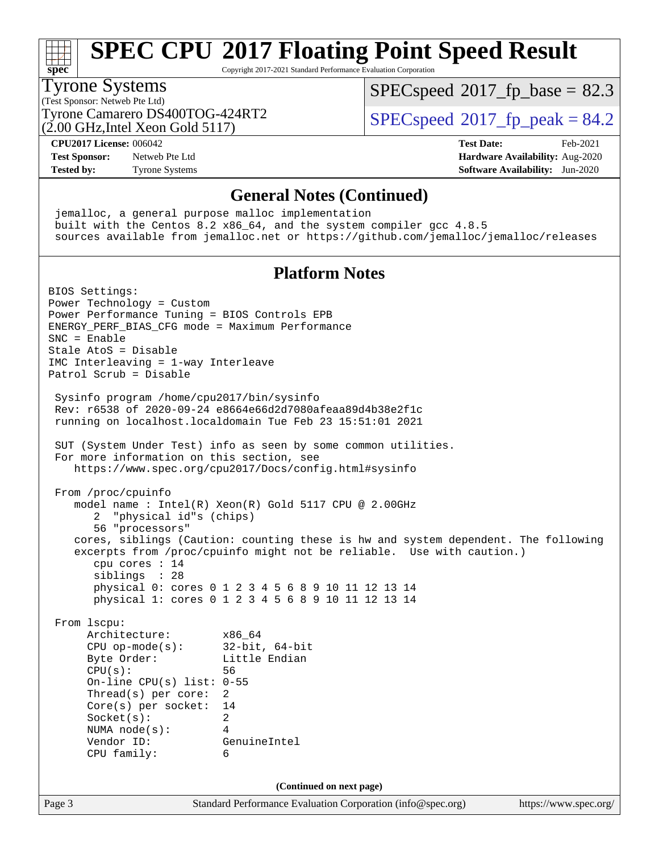## **[spec](http://www.spec.org/)**

## **[SPEC CPU](http://www.spec.org/auto/cpu2017/Docs/result-fields.html#SPECCPU2017FloatingPointSpeedResult)[2017 Floating Point Speed Result](http://www.spec.org/auto/cpu2017/Docs/result-fields.html#SPECCPU2017FloatingPointSpeedResult)**

Copyright 2017-2021 Standard Performance Evaluation Corporation

#### Tyrone Systems

(Test Sponsor: Netweb Pte Ltd) (2.00 GHz,Intel Xeon Gold 5117)  $SPECspeed^{\circ}2017\_fp\_base = 82.3$  $SPECspeed^{\circ}2017\_fp\_base = 82.3$ 

Tyrone Camarero DS400TOG-424RT2  $\vert$  [SPECspeed](http://www.spec.org/auto/cpu2017/Docs/result-fields.html#SPECspeed2017fppeak)®[2017\\_fp\\_peak = 8](http://www.spec.org/auto/cpu2017/Docs/result-fields.html#SPECspeed2017fppeak)4.2

**[CPU2017 License:](http://www.spec.org/auto/cpu2017/Docs/result-fields.html#CPU2017License)** 006042 **[Test Date:](http://www.spec.org/auto/cpu2017/Docs/result-fields.html#TestDate)** Feb-2021

**[Test Sponsor:](http://www.spec.org/auto/cpu2017/Docs/result-fields.html#TestSponsor)** Netweb Pte Ltd **[Hardware Availability:](http://www.spec.org/auto/cpu2017/Docs/result-fields.html#HardwareAvailability)** Aug-2020 **[Tested by:](http://www.spec.org/auto/cpu2017/Docs/result-fields.html#Testedby)** Tyrone Systems **[Software Availability:](http://www.spec.org/auto/cpu2017/Docs/result-fields.html#SoftwareAvailability)** Jun-2020

#### **[General Notes \(Continued\)](http://www.spec.org/auto/cpu2017/Docs/result-fields.html#GeneralNotes)**

 jemalloc, a general purpose malloc implementation built with the Centos 8.2 x86\_64, and the system compiler gcc 4.8.5 sources available from jemalloc.net or <https://github.com/jemalloc/jemalloc/releases> **[Platform Notes](http://www.spec.org/auto/cpu2017/Docs/result-fields.html#PlatformNotes)** BIOS Settings: Power Technology = Custom Power Performance Tuning = BIOS Controls EPB ENERGY\_PERF\_BIAS\_CFG mode = Maximum Performance SNC = Enable Stale AtoS = Disable IMC Interleaving = 1-way Interleave Patrol Scrub = Disable Sysinfo program /home/cpu2017/bin/sysinfo Rev: r6538 of 2020-09-24 e8664e66d2d7080afeaa89d4b38e2f1c running on localhost.localdomain Tue Feb 23 15:51:01 2021 SUT (System Under Test) info as seen by some common utilities. For more information on this section, see <https://www.spec.org/cpu2017/Docs/config.html#sysinfo> From /proc/cpuinfo model name : Intel(R) Xeon(R) Gold 5117 CPU @ 2.00GHz 2 "physical id"s (chips) 56 "processors" cores, siblings (Caution: counting these is hw and system dependent. The following excerpts from /proc/cpuinfo might not be reliable. Use with caution.) cpu cores : 14 siblings : 28 physical 0: cores 0 1 2 3 4 5 6 8 9 10 11 12 13 14 physical 1: cores 0 1 2 3 4 5 6 8 9 10 11 12 13 14 From lscpu: Architecture: x86\_64 CPU op-mode(s): 32-bit, 64-bit Byte Order: Little Endian CPU(s): 56 On-line CPU(s) list: 0-55 Thread(s) per core: 2 Core(s) per socket: 14 Socket(s): 2 NUMA node(s): 4 Vendor ID: GenuineIntel CPU family: 6 **(Continued on next page)**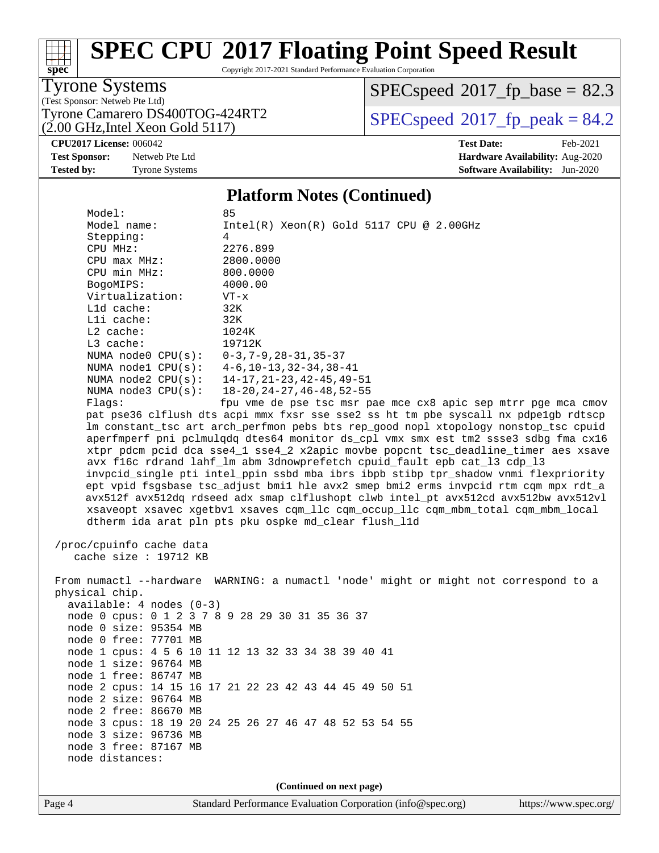Copyright 2017-2021 Standard Performance Evaluation Corporation

Tyrone Systems

**[spec](http://www.spec.org/)**

 $\pm t$ 

(Test Sponsor: Netweb Pte Ltd)<br>Tyrone Camarero DS400TOG-424RT2  $(2.00 \text{ GHz}, \text{Intel} \text{ Xeon} \text{ Gold } 5117)$ 

 $SPECspeed*2017_fp\_base = 82.3$  $SPECspeed*2017_fp\_base = 82.3$ 

 $SPECspeed*2017_fp\_peak = 84.2$  $SPECspeed*2017_fp\_peak = 84.2$ 

**[CPU2017 License:](http://www.spec.org/auto/cpu2017/Docs/result-fields.html#CPU2017License)** 006042 **[Test Date:](http://www.spec.org/auto/cpu2017/Docs/result-fields.html#TestDate)** Feb-2021

**[Test Sponsor:](http://www.spec.org/auto/cpu2017/Docs/result-fields.html#TestSponsor)** Netweb Pte Ltd **[Hardware Availability:](http://www.spec.org/auto/cpu2017/Docs/result-fields.html#HardwareAvailability)** Aug-2020 **[Tested by:](http://www.spec.org/auto/cpu2017/Docs/result-fields.html#Testedby)** Tyrone Systems **[Software Availability:](http://www.spec.org/auto/cpu2017/Docs/result-fields.html#SoftwareAvailability)** Jun-2020

### **[Platform Notes \(Continued\)](http://www.spec.org/auto/cpu2017/Docs/result-fields.html#PlatformNotes)**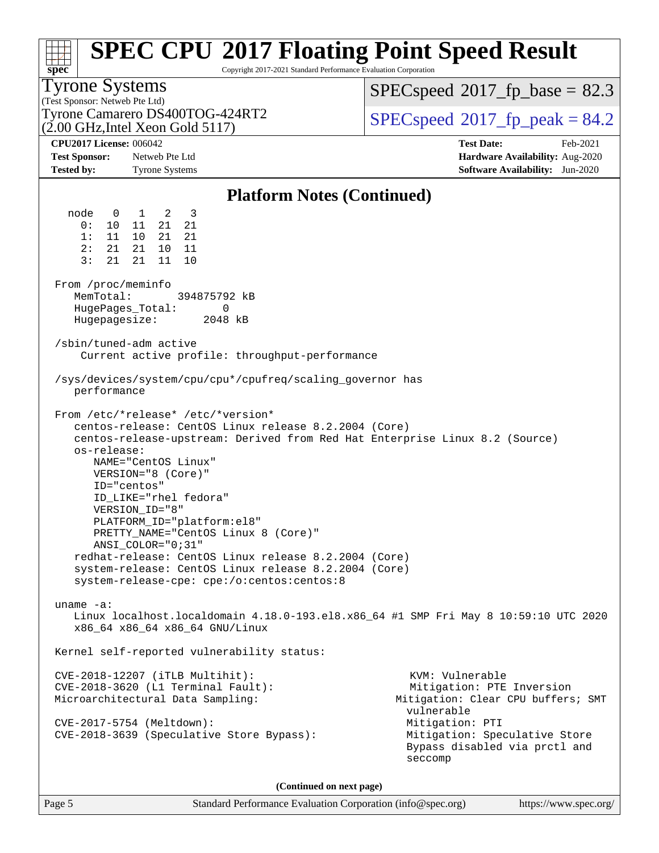| spec <sup>®</sup>                                       |                                                                                                                                                                                                                                                                                                                                                                                                                                                           | Copyright 2017-2021 Standard Performance Evaluation Corporation | <b>SPEC CPU®2017 Floating Point Speed Result</b>                                                                    |  |  |  |  |
|---------------------------------------------------------|-----------------------------------------------------------------------------------------------------------------------------------------------------------------------------------------------------------------------------------------------------------------------------------------------------------------------------------------------------------------------------------------------------------------------------------------------------------|-----------------------------------------------------------------|---------------------------------------------------------------------------------------------------------------------|--|--|--|--|
| <b>Tyrone Systems</b><br>(Test Sponsor: Netweb Pte Ltd) |                                                                                                                                                                                                                                                                                                                                                                                                                                                           |                                                                 | $SPEC speed^{\circ}2017\_fp\_base = 82.3$                                                                           |  |  |  |  |
|                                                         | Tyrone Camarero DS400TOG-424RT2<br>$(2.00 \text{ GHz}, \text{Intel Xeon Gold } 5117)$                                                                                                                                                                                                                                                                                                                                                                     |                                                                 | $SPEC speed^{\circ}2017$ _fp_peak = 84.2                                                                            |  |  |  |  |
| <b>CPU2017 License: 006042</b>                          |                                                                                                                                                                                                                                                                                                                                                                                                                                                           |                                                                 | <b>Test Date:</b><br>Feb-2021                                                                                       |  |  |  |  |
| <b>Test Sponsor:</b><br><b>Tested by:</b>               | Netweb Pte Ltd<br><b>Tyrone Systems</b>                                                                                                                                                                                                                                                                                                                                                                                                                   |                                                                 | Hardware Availability: Aug-2020<br><b>Software Availability:</b> Jun-2020                                           |  |  |  |  |
|                                                         |                                                                                                                                                                                                                                                                                                                                                                                                                                                           | <b>Platform Notes (Continued)</b>                               |                                                                                                                     |  |  |  |  |
| node<br>0:<br>1:<br>11<br>2:<br>21<br>3:<br>21          | $0 \qquad 1 \qquad 2 \qquad 3$<br>21 21<br>10 11<br>10<br>21 21<br>21<br>10 11<br>21<br>11<br>10                                                                                                                                                                                                                                                                                                                                                          |                                                                 |                                                                                                                     |  |  |  |  |
| From /proc/meminfo<br>MemTotal:<br>HugePages_Total:     | 394875792 kB<br>0<br>Hugepagesize:<br>2048 kB                                                                                                                                                                                                                                                                                                                                                                                                             |                                                                 |                                                                                                                     |  |  |  |  |
| /sbin/tuned-adm active                                  | Current active profile: throughput-performance                                                                                                                                                                                                                                                                                                                                                                                                            |                                                                 |                                                                                                                     |  |  |  |  |
| performance                                             | /sys/devices/system/cpu/cpu*/cpufreq/scaling_governor has                                                                                                                                                                                                                                                                                                                                                                                                 |                                                                 |                                                                                                                     |  |  |  |  |
| os-release:                                             | From /etc/*release* /etc/*version*<br>centos-release: CentOS Linux release 8.2.2004 (Core)<br>NAME="CentOS Linux"<br>VERSION="8 (Core)"<br>ID="centos"<br>ID LIKE="rhel fedora"<br>VERSION ID="8"<br>PLATFORM_ID="platform:el8"<br>PRETTY_NAME="CentOS Linux 8 (Core)"<br>ANSI COLOR="0;31"<br>redhat-release: CentOS Linux release 8.2.2004 (Core)<br>system-release: CentOS Linux release 8.2.2004 (Core)<br>system-release-cpe: cpe:/o:centos:centos:8 |                                                                 | centos-release-upstream: Derived from Red Hat Enterprise Linux 8.2 (Source)                                         |  |  |  |  |
| uname $-a$ :                                            | x86_64 x86_64 x86_64 GNU/Linux                                                                                                                                                                                                                                                                                                                                                                                                                            |                                                                 | Linux localhost.localdomain 4.18.0-193.el8.x86_64 #1 SMP Fri May 8 10:59:10 UTC 2020                                |  |  |  |  |
|                                                         | Kernel self-reported vulnerability status:                                                                                                                                                                                                                                                                                                                                                                                                                |                                                                 |                                                                                                                     |  |  |  |  |
|                                                         | $CVE-2018-12207$ (iTLB Multihit):<br>CVE-2018-3620 (L1 Terminal Fault):<br>Microarchitectural Data Sampling:<br>CVE-2017-5754 (Meltdown):                                                                                                                                                                                                                                                                                                                 |                                                                 | KVM: Vulnerable<br>Mitigation: PTE Inversion<br>Mitigation: Clear CPU buffers; SMT<br>vulnerable<br>Mitigation: PTI |  |  |  |  |
| CVE-2018-3639 (Speculative Store Bypass):<br>seccomp    |                                                                                                                                                                                                                                                                                                                                                                                                                                                           |                                                                 | Mitigation: Speculative Store<br>Bypass disabled via prctl and                                                      |  |  |  |  |
|                                                         |                                                                                                                                                                                                                                                                                                                                                                                                                                                           |                                                                 |                                                                                                                     |  |  |  |  |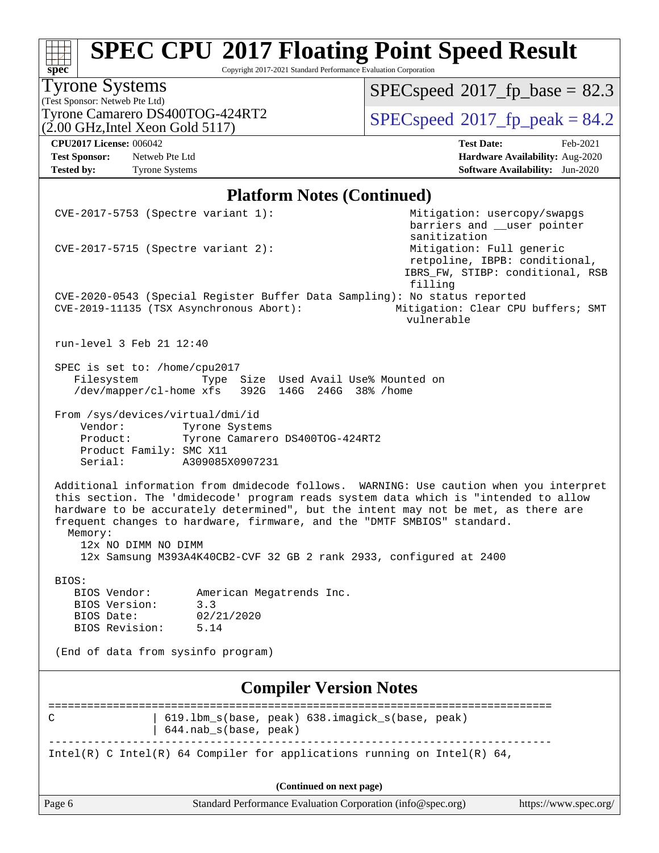Copyright 2017-2021 Standard Performance Evaluation Corporation

### Tyrone Systems

**[spec](http://www.spec.org/)**

(Test Sponsor: Netweb Pte Ltd)<br>Tyrone Camarero DS400TOG-424RT2  $(2.00 \text{ GHz}, \text{Intel} \text{ Xeon} \text{ Gold } 5117)$ 

 $SPECspeed*2017_fp\_base = 82.3$  $SPECspeed*2017_fp\_base = 82.3$ 

 $SPECspeed*2017_fp\_peak = 84.2$  $SPECspeed*2017_fp\_peak = 84.2$ 

**[CPU2017 License:](http://www.spec.org/auto/cpu2017/Docs/result-fields.html#CPU2017License)** 006042 **[Test Date:](http://www.spec.org/auto/cpu2017/Docs/result-fields.html#TestDate)** Feb-2021 **[Test Sponsor:](http://www.spec.org/auto/cpu2017/Docs/result-fields.html#TestSponsor)** Netweb Pte Ltd **[Hardware Availability:](http://www.spec.org/auto/cpu2017/Docs/result-fields.html#HardwareAvailability)** Aug-2020 **[Tested by:](http://www.spec.org/auto/cpu2017/Docs/result-fields.html#Testedby)** Tyrone Systems **[Software Availability:](http://www.spec.org/auto/cpu2017/Docs/result-fields.html#SoftwareAvailability)** Jun-2020

#### **[Platform Notes \(Continued\)](http://www.spec.org/auto/cpu2017/Docs/result-fields.html#PlatformNotes)**

| $CVE-2017-5753$ (Spectre variant 1):                                                          |                                                                                                                                               | Mitigation: usercopy/swapgs<br>barriers and __user pointer                                                                                                                                                                                                          |
|-----------------------------------------------------------------------------------------------|-----------------------------------------------------------------------------------------------------------------------------------------------|---------------------------------------------------------------------------------------------------------------------------------------------------------------------------------------------------------------------------------------------------------------------|
| $CVE-2017-5715$ (Spectre variant 2):                                                          |                                                                                                                                               | sanitization<br>Mitigation: Full generic<br>retpoline, IBPB: conditional,<br>IBRS_FW, STIBP: conditional, RSB                                                                                                                                                       |
|                                                                                               |                                                                                                                                               | filling                                                                                                                                                                                                                                                             |
| CVE-2019-11135 (TSX Asynchronous Abort):                                                      | CVE-2020-0543 (Special Register Buffer Data Sampling): No status reported                                                                     | Mitigation: Clear CPU buffers; SMT<br>vulnerable                                                                                                                                                                                                                    |
| run-level 3 Feb 21 12:40                                                                      |                                                                                                                                               |                                                                                                                                                                                                                                                                     |
| SPEC is set to: /home/cpu2017<br>Filesystem                                                   | Type Size Used Avail Use% Mounted on<br>/dev/mapper/cl-home xfs 392G 146G 246G 38% /home                                                      |                                                                                                                                                                                                                                                                     |
| From /sys/devices/virtual/dmi/id<br>Vendor:<br>Product:<br>Product Family: SMC X11<br>Serial: | Tyrone Systems<br>Tyrone Camarero DS400TOG-424RT2<br>A309085X0907231                                                                          |                                                                                                                                                                                                                                                                     |
| Memory:<br>12x NO DIMM NO DIMM                                                                | frequent changes to hardware, firmware, and the "DMTF SMBIOS" standard.<br>12x Samsung M393A4K40CB2-CVF 32 GB 2 rank 2933, configured at 2400 | Additional information from dmidecode follows. WARNING: Use caution when you interpret<br>this section. The 'dmidecode' program reads system data which is "intended to allow<br>hardware to be accurately determined", but the intent may not be met, as there are |
| BIOS:                                                                                         |                                                                                                                                               |                                                                                                                                                                                                                                                                     |
| BIOS Vendor:                                                                                  | American Megatrends Inc.                                                                                                                      |                                                                                                                                                                                                                                                                     |
| BIOS Version:                                                                                 | 3.3                                                                                                                                           |                                                                                                                                                                                                                                                                     |
| BIOS Date:<br>BIOS Revision:                                                                  | 02/21/2020<br>5.14                                                                                                                            |                                                                                                                                                                                                                                                                     |
| (End of data from sysinfo program)                                                            |                                                                                                                                               |                                                                                                                                                                                                                                                                     |
|                                                                                               | <b>Compiler Version Notes</b>                                                                                                                 |                                                                                                                                                                                                                                                                     |
| С                                                                                             | 619.1bm_s(base, peak) 638.imagick_s(base, peak)<br>644.nab_s(base, peak)                                                                      |                                                                                                                                                                                                                                                                     |
|                                                                                               | Intel(R) C Intel(R) 64 Compiler for applications running on Intel(R) 64,                                                                      |                                                                                                                                                                                                                                                                     |
|                                                                                               |                                                                                                                                               |                                                                                                                                                                                                                                                                     |
|                                                                                               | (Continued on next page)                                                                                                                      |                                                                                                                                                                                                                                                                     |
| Page 6                                                                                        | Standard Performance Evaluation Corporation (info@spec.org)                                                                                   | https://www.spec.org/                                                                                                                                                                                                                                               |
|                                                                                               |                                                                                                                                               |                                                                                                                                                                                                                                                                     |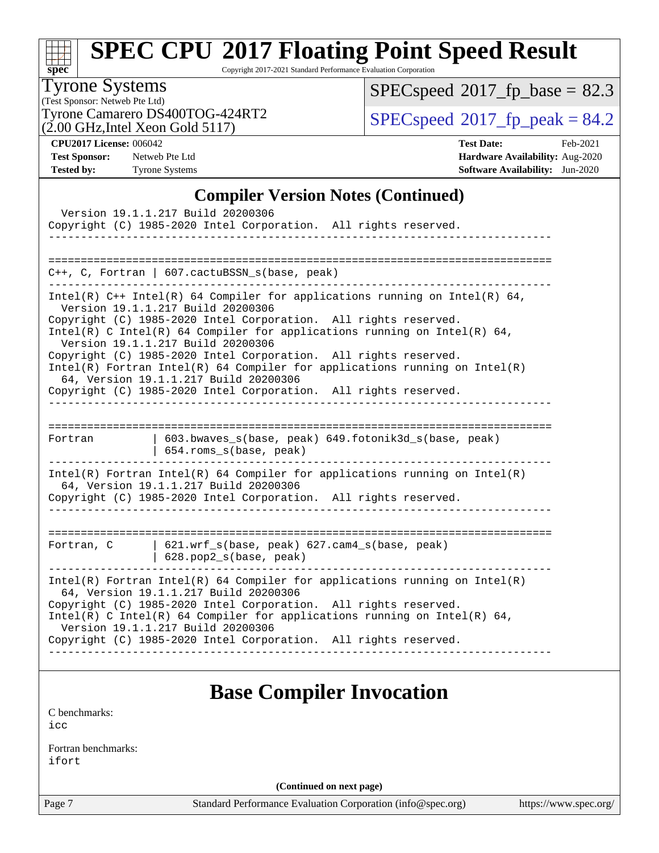| s<br>ĉ | n | æ | U |  |
|--------|---|---|---|--|

Copyright 2017-2021 Standard Performance Evaluation Corporation

#### Tyrone Systems

(Test Sponsor: Netweb Pte Ltd)  $(2.00 \text{ GHz}, \text{Intel} \text{ Xeon} \text{ Gold} 5117)$ Tyrone Camarero DS400TOG-424RT2  $\vert$  [SPECspeed](http://www.spec.org/auto/cpu2017/Docs/result-fields.html#SPECspeed2017fppeak)®[2017\\_fp\\_peak = 8](http://www.spec.org/auto/cpu2017/Docs/result-fields.html#SPECspeed2017fppeak)4.2

 $SPECspeed*2017_fp\_base = 82.3$  $SPECspeed*2017_fp\_base = 82.3$ 

**[CPU2017 License:](http://www.spec.org/auto/cpu2017/Docs/result-fields.html#CPU2017License)** 006042 **[Test Date:](http://www.spec.org/auto/cpu2017/Docs/result-fields.html#TestDate)** Feb-2021 **[Test Sponsor:](http://www.spec.org/auto/cpu2017/Docs/result-fields.html#TestSponsor)** Netweb Pte Ltd **[Hardware Availability:](http://www.spec.org/auto/cpu2017/Docs/result-fields.html#HardwareAvailability)** Aug-2020 **[Tested by:](http://www.spec.org/auto/cpu2017/Docs/result-fields.html#Testedby)** Tyrone Systems **[Software Availability:](http://www.spec.org/auto/cpu2017/Docs/result-fields.html#SoftwareAvailability)** Jun-2020

#### **[Compiler Version Notes \(Continued\)](http://www.spec.org/auto/cpu2017/Docs/result-fields.html#CompilerVersionNotes)**

|            | Version 19.1.1.217 Build 20200306<br>Copyright (C) 1985-2020 Intel Corporation. All rights reserved.                                                                                                                                                                                                                                                                                                                                                                                                                                                                 |
|------------|----------------------------------------------------------------------------------------------------------------------------------------------------------------------------------------------------------------------------------------------------------------------------------------------------------------------------------------------------------------------------------------------------------------------------------------------------------------------------------------------------------------------------------------------------------------------|
|            | $C++$ , C, Fortran   607.cactuBSSN_s(base, peak)                                                                                                                                                                                                                                                                                                                                                                                                                                                                                                                     |
|            | Intel(R) $C++$ Intel(R) 64 Compiler for applications running on Intel(R) 64,<br>Version 19.1.1.217 Build 20200306<br>Copyright (C) 1985-2020 Intel Corporation. All rights reserved.<br>Intel(R) C Intel(R) 64 Compiler for applications running on Intel(R) 64,<br>Version 19.1.1.217 Build 20200306<br>Copyright (C) 1985-2020 Intel Corporation. All rights reserved.<br>$Intel(R)$ Fortran Intel(R) 64 Compiler for applications running on Intel(R)<br>64, Version 19.1.1.217 Build 20200306<br>Copyright (C) 1985-2020 Intel Corporation. All rights reserved. |
| Fortran    | 603.bwaves_s(base, peak) 649.fotonik3d_s(base, peak)<br>654.roms_s(base, peak)                                                                                                                                                                                                                                                                                                                                                                                                                                                                                       |
|            | $Intel(R)$ Fortran Intel(R) 64 Compiler for applications running on Intel(R)<br>64, Version 19.1.1.217 Build 20200306<br>Copyright (C) 1985-2020 Intel Corporation. All rights reserved.                                                                                                                                                                                                                                                                                                                                                                             |
| Fortran, C | 621.wrf_s(base, peak) 627.cam4_s(base, peak)<br>$  628.pop2_s(base, peak)$                                                                                                                                                                                                                                                                                                                                                                                                                                                                                           |
|            | $Intel(R)$ Fortran Intel(R) 64 Compiler for applications running on Intel(R)<br>64, Version 19.1.1.217 Build 20200306<br>Copyright (C) 1985-2020 Intel Corporation. All rights reserved.<br>Intel(R) C Intel(R) 64 Compiler for applications running on Intel(R) 64,<br>Version 19.1.1.217 Build 20200306<br>Copyright (C) 1985-2020 Intel Corporation. All rights reserved.                                                                                                                                                                                         |
|            | <b>Base Compiler Invocation</b>                                                                                                                                                                                                                                                                                                                                                                                                                                                                                                                                      |

[icc](http://www.spec.org/cpu2017/results/res2021q1/cpu2017-20210227-25027.flags.html#user_CCbase_intel_icc_66fc1ee009f7361af1fbd72ca7dcefbb700085f36577c54f309893dd4ec40d12360134090235512931783d35fd58c0460139e722d5067c5574d8eaf2b3e37e92) [Fortran benchmarks](http://www.spec.org/auto/cpu2017/Docs/result-fields.html#Fortranbenchmarks):

[C benchmarks](http://www.spec.org/auto/cpu2017/Docs/result-fields.html#Cbenchmarks):

[ifort](http://www.spec.org/cpu2017/results/res2021q1/cpu2017-20210227-25027.flags.html#user_FCbase_intel_ifort_8111460550e3ca792625aed983ce982f94888b8b503583aa7ba2b8303487b4d8a21a13e7191a45c5fd58ff318f48f9492884d4413fa793fd88dd292cad7027ca)

**(Continued on next page)**

Page 7 Standard Performance Evaluation Corporation [\(info@spec.org\)](mailto:info@spec.org) <https://www.spec.org/>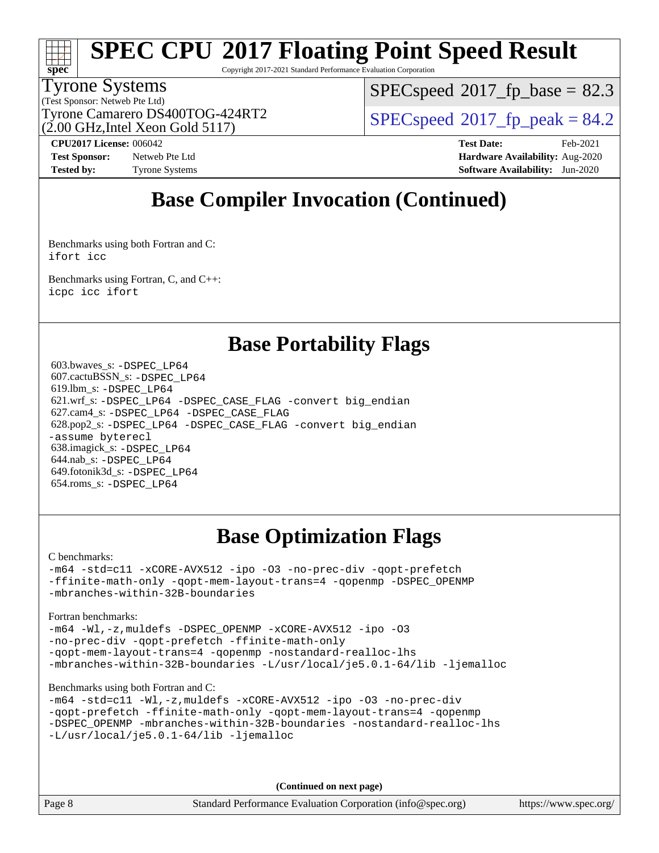# **[spec](http://www.spec.org/)**

## **[SPEC CPU](http://www.spec.org/auto/cpu2017/Docs/result-fields.html#SPECCPU2017FloatingPointSpeedResult)[2017 Floating Point Speed Result](http://www.spec.org/auto/cpu2017/Docs/result-fields.html#SPECCPU2017FloatingPointSpeedResult)**

Copyright 2017-2021 Standard Performance Evaluation Corporation

#### Tyrone Systems

(Test Sponsor: Netweb Pte Ltd) (2.00 GHz,Intel Xeon Gold 5117)  $SPECspeed^{\circledcirc}2017$  $SPECspeed^{\circledcirc}2017$  fp base = 82.3

Tyrone Camarero DS400TOG-424RT2  $\vert$  [SPECspeed](http://www.spec.org/auto/cpu2017/Docs/result-fields.html#SPECspeed2017fppeak)®[2017\\_fp\\_peak = 8](http://www.spec.org/auto/cpu2017/Docs/result-fields.html#SPECspeed2017fppeak)4.2

**[Tested by:](http://www.spec.org/auto/cpu2017/Docs/result-fields.html#Testedby)** Tyrone Systems **[Software Availability:](http://www.spec.org/auto/cpu2017/Docs/result-fields.html#SoftwareAvailability)** Jun-2020

**[CPU2017 License:](http://www.spec.org/auto/cpu2017/Docs/result-fields.html#CPU2017License)** 006042 **[Test Date:](http://www.spec.org/auto/cpu2017/Docs/result-fields.html#TestDate)** Feb-2021 **[Test Sponsor:](http://www.spec.org/auto/cpu2017/Docs/result-fields.html#TestSponsor)** Netweb Pte Ltd **[Hardware Availability:](http://www.spec.org/auto/cpu2017/Docs/result-fields.html#HardwareAvailability)** Aug-2020

### **[Base Compiler Invocation \(Continued\)](http://www.spec.org/auto/cpu2017/Docs/result-fields.html#BaseCompilerInvocation)**

[Benchmarks using both Fortran and C](http://www.spec.org/auto/cpu2017/Docs/result-fields.html#BenchmarksusingbothFortranandC): [ifort](http://www.spec.org/cpu2017/results/res2021q1/cpu2017-20210227-25027.flags.html#user_CC_FCbase_intel_ifort_8111460550e3ca792625aed983ce982f94888b8b503583aa7ba2b8303487b4d8a21a13e7191a45c5fd58ff318f48f9492884d4413fa793fd88dd292cad7027ca) [icc](http://www.spec.org/cpu2017/results/res2021q1/cpu2017-20210227-25027.flags.html#user_CC_FCbase_intel_icc_66fc1ee009f7361af1fbd72ca7dcefbb700085f36577c54f309893dd4ec40d12360134090235512931783d35fd58c0460139e722d5067c5574d8eaf2b3e37e92)

[Benchmarks using Fortran, C, and C++:](http://www.spec.org/auto/cpu2017/Docs/result-fields.html#BenchmarksusingFortranCandCXX) [icpc](http://www.spec.org/cpu2017/results/res2021q1/cpu2017-20210227-25027.flags.html#user_CC_CXX_FCbase_intel_icpc_c510b6838c7f56d33e37e94d029a35b4a7bccf4766a728ee175e80a419847e808290a9b78be685c44ab727ea267ec2f070ec5dc83b407c0218cded6866a35d07) [icc](http://www.spec.org/cpu2017/results/res2021q1/cpu2017-20210227-25027.flags.html#user_CC_CXX_FCbase_intel_icc_66fc1ee009f7361af1fbd72ca7dcefbb700085f36577c54f309893dd4ec40d12360134090235512931783d35fd58c0460139e722d5067c5574d8eaf2b3e37e92) [ifort](http://www.spec.org/cpu2017/results/res2021q1/cpu2017-20210227-25027.flags.html#user_CC_CXX_FCbase_intel_ifort_8111460550e3ca792625aed983ce982f94888b8b503583aa7ba2b8303487b4d8a21a13e7191a45c5fd58ff318f48f9492884d4413fa793fd88dd292cad7027ca)

### **[Base Portability Flags](http://www.spec.org/auto/cpu2017/Docs/result-fields.html#BasePortabilityFlags)**

 603.bwaves\_s: [-DSPEC\\_LP64](http://www.spec.org/cpu2017/results/res2021q1/cpu2017-20210227-25027.flags.html#suite_basePORTABILITY603_bwaves_s_DSPEC_LP64) 607.cactuBSSN\_s: [-DSPEC\\_LP64](http://www.spec.org/cpu2017/results/res2021q1/cpu2017-20210227-25027.flags.html#suite_basePORTABILITY607_cactuBSSN_s_DSPEC_LP64) 619.lbm\_s: [-DSPEC\\_LP64](http://www.spec.org/cpu2017/results/res2021q1/cpu2017-20210227-25027.flags.html#suite_basePORTABILITY619_lbm_s_DSPEC_LP64) 621.wrf\_s: [-DSPEC\\_LP64](http://www.spec.org/cpu2017/results/res2021q1/cpu2017-20210227-25027.flags.html#suite_basePORTABILITY621_wrf_s_DSPEC_LP64) [-DSPEC\\_CASE\\_FLAG](http://www.spec.org/cpu2017/results/res2021q1/cpu2017-20210227-25027.flags.html#b621.wrf_s_baseCPORTABILITY_DSPEC_CASE_FLAG) [-convert big\\_endian](http://www.spec.org/cpu2017/results/res2021q1/cpu2017-20210227-25027.flags.html#user_baseFPORTABILITY621_wrf_s_convert_big_endian_c3194028bc08c63ac5d04de18c48ce6d347e4e562e8892b8bdbdc0214820426deb8554edfa529a3fb25a586e65a3d812c835984020483e7e73212c4d31a38223) 627.cam4\_s: [-DSPEC\\_LP64](http://www.spec.org/cpu2017/results/res2021q1/cpu2017-20210227-25027.flags.html#suite_basePORTABILITY627_cam4_s_DSPEC_LP64) [-DSPEC\\_CASE\\_FLAG](http://www.spec.org/cpu2017/results/res2021q1/cpu2017-20210227-25027.flags.html#b627.cam4_s_baseCPORTABILITY_DSPEC_CASE_FLAG) 628.pop2\_s: [-DSPEC\\_LP64](http://www.spec.org/cpu2017/results/res2021q1/cpu2017-20210227-25027.flags.html#suite_basePORTABILITY628_pop2_s_DSPEC_LP64) [-DSPEC\\_CASE\\_FLAG](http://www.spec.org/cpu2017/results/res2021q1/cpu2017-20210227-25027.flags.html#b628.pop2_s_baseCPORTABILITY_DSPEC_CASE_FLAG) [-convert big\\_endian](http://www.spec.org/cpu2017/results/res2021q1/cpu2017-20210227-25027.flags.html#user_baseFPORTABILITY628_pop2_s_convert_big_endian_c3194028bc08c63ac5d04de18c48ce6d347e4e562e8892b8bdbdc0214820426deb8554edfa529a3fb25a586e65a3d812c835984020483e7e73212c4d31a38223) [-assume byterecl](http://www.spec.org/cpu2017/results/res2021q1/cpu2017-20210227-25027.flags.html#user_baseFPORTABILITY628_pop2_s_assume_byterecl_7e47d18b9513cf18525430bbf0f2177aa9bf368bc7a059c09b2c06a34b53bd3447c950d3f8d6c70e3faf3a05c8557d66a5798b567902e8849adc142926523472) 638.imagick\_s: [-DSPEC\\_LP64](http://www.spec.org/cpu2017/results/res2021q1/cpu2017-20210227-25027.flags.html#suite_basePORTABILITY638_imagick_s_DSPEC_LP64) 644.nab\_s: [-DSPEC\\_LP64](http://www.spec.org/cpu2017/results/res2021q1/cpu2017-20210227-25027.flags.html#suite_basePORTABILITY644_nab_s_DSPEC_LP64) 649.fotonik3d\_s: [-DSPEC\\_LP64](http://www.spec.org/cpu2017/results/res2021q1/cpu2017-20210227-25027.flags.html#suite_basePORTABILITY649_fotonik3d_s_DSPEC_LP64) 654.roms\_s: [-DSPEC\\_LP64](http://www.spec.org/cpu2017/results/res2021q1/cpu2017-20210227-25027.flags.html#suite_basePORTABILITY654_roms_s_DSPEC_LP64)

### **[Base Optimization Flags](http://www.spec.org/auto/cpu2017/Docs/result-fields.html#BaseOptimizationFlags)**

[C benchmarks](http://www.spec.org/auto/cpu2017/Docs/result-fields.html#Cbenchmarks):

[-m64](http://www.spec.org/cpu2017/results/res2021q1/cpu2017-20210227-25027.flags.html#user_CCbase_m64-icc) [-std=c11](http://www.spec.org/cpu2017/results/res2021q1/cpu2017-20210227-25027.flags.html#user_CCbase_std-icc-std_0e1c27790398a4642dfca32ffe6c27b5796f9c2d2676156f2e42c9c44eaad0c049b1cdb667a270c34d979996257aeb8fc440bfb01818dbc9357bd9d174cb8524) [-xCORE-AVX512](http://www.spec.org/cpu2017/results/res2021q1/cpu2017-20210227-25027.flags.html#user_CCbase_f-xCORE-AVX512) [-ipo](http://www.spec.org/cpu2017/results/res2021q1/cpu2017-20210227-25027.flags.html#user_CCbase_f-ipo) [-O3](http://www.spec.org/cpu2017/results/res2021q1/cpu2017-20210227-25027.flags.html#user_CCbase_f-O3) [-no-prec-div](http://www.spec.org/cpu2017/results/res2021q1/cpu2017-20210227-25027.flags.html#user_CCbase_f-no-prec-div) [-qopt-prefetch](http://www.spec.org/cpu2017/results/res2021q1/cpu2017-20210227-25027.flags.html#user_CCbase_f-qopt-prefetch) [-ffinite-math-only](http://www.spec.org/cpu2017/results/res2021q1/cpu2017-20210227-25027.flags.html#user_CCbase_f_finite_math_only_cb91587bd2077682c4b38af759c288ed7c732db004271a9512da14a4f8007909a5f1427ecbf1a0fb78ff2a814402c6114ac565ca162485bbcae155b5e4258871) [-qopt-mem-layout-trans=4](http://www.spec.org/cpu2017/results/res2021q1/cpu2017-20210227-25027.flags.html#user_CCbase_f-qopt-mem-layout-trans_fa39e755916c150a61361b7846f310bcdf6f04e385ef281cadf3647acec3f0ae266d1a1d22d972a7087a248fd4e6ca390a3634700869573d231a252c784941a8) [-qopenmp](http://www.spec.org/cpu2017/results/res2021q1/cpu2017-20210227-25027.flags.html#user_CCbase_qopenmp_16be0c44f24f464004c6784a7acb94aca937f053568ce72f94b139a11c7c168634a55f6653758ddd83bcf7b8463e8028bb0b48b77bcddc6b78d5d95bb1df2967) [-DSPEC\\_OPENMP](http://www.spec.org/cpu2017/results/res2021q1/cpu2017-20210227-25027.flags.html#suite_CCbase_DSPEC_OPENMP) [-mbranches-within-32B-boundaries](http://www.spec.org/cpu2017/results/res2021q1/cpu2017-20210227-25027.flags.html#user_CCbase_f-mbranches-within-32B-boundaries)

#### [Fortran benchmarks](http://www.spec.org/auto/cpu2017/Docs/result-fields.html#Fortranbenchmarks):

[-m64](http://www.spec.org/cpu2017/results/res2021q1/cpu2017-20210227-25027.flags.html#user_FCbase_m64-icc) [-Wl,-z,muldefs](http://www.spec.org/cpu2017/results/res2021q1/cpu2017-20210227-25027.flags.html#user_FCbase_link_force_multiple1_b4cbdb97b34bdee9ceefcfe54f4c8ea74255f0b02a4b23e853cdb0e18eb4525ac79b5a88067c842dd0ee6996c24547a27a4b99331201badda8798ef8a743f577) [-DSPEC\\_OPENMP](http://www.spec.org/cpu2017/results/res2021q1/cpu2017-20210227-25027.flags.html#suite_FCbase_DSPEC_OPENMP) [-xCORE-AVX512](http://www.spec.org/cpu2017/results/res2021q1/cpu2017-20210227-25027.flags.html#user_FCbase_f-xCORE-AVX512) [-ipo](http://www.spec.org/cpu2017/results/res2021q1/cpu2017-20210227-25027.flags.html#user_FCbase_f-ipo) [-O3](http://www.spec.org/cpu2017/results/res2021q1/cpu2017-20210227-25027.flags.html#user_FCbase_f-O3) [-no-prec-div](http://www.spec.org/cpu2017/results/res2021q1/cpu2017-20210227-25027.flags.html#user_FCbase_f-no-prec-div) [-qopt-prefetch](http://www.spec.org/cpu2017/results/res2021q1/cpu2017-20210227-25027.flags.html#user_FCbase_f-qopt-prefetch) [-ffinite-math-only](http://www.spec.org/cpu2017/results/res2021q1/cpu2017-20210227-25027.flags.html#user_FCbase_f_finite_math_only_cb91587bd2077682c4b38af759c288ed7c732db004271a9512da14a4f8007909a5f1427ecbf1a0fb78ff2a814402c6114ac565ca162485bbcae155b5e4258871) [-qopt-mem-layout-trans=4](http://www.spec.org/cpu2017/results/res2021q1/cpu2017-20210227-25027.flags.html#user_FCbase_f-qopt-mem-layout-trans_fa39e755916c150a61361b7846f310bcdf6f04e385ef281cadf3647acec3f0ae266d1a1d22d972a7087a248fd4e6ca390a3634700869573d231a252c784941a8) [-qopenmp](http://www.spec.org/cpu2017/results/res2021q1/cpu2017-20210227-25027.flags.html#user_FCbase_qopenmp_16be0c44f24f464004c6784a7acb94aca937f053568ce72f94b139a11c7c168634a55f6653758ddd83bcf7b8463e8028bb0b48b77bcddc6b78d5d95bb1df2967) [-nostandard-realloc-lhs](http://www.spec.org/cpu2017/results/res2021q1/cpu2017-20210227-25027.flags.html#user_FCbase_f_2003_std_realloc_82b4557e90729c0f113870c07e44d33d6f5a304b4f63d4c15d2d0f1fab99f5daaed73bdb9275d9ae411527f28b936061aa8b9c8f2d63842963b95c9dd6426b8a) [-mbranches-within-32B-boundaries](http://www.spec.org/cpu2017/results/res2021q1/cpu2017-20210227-25027.flags.html#user_FCbase_f-mbranches-within-32B-boundaries) [-L/usr/local/je5.0.1-64/lib](http://www.spec.org/cpu2017/results/res2021q1/cpu2017-20210227-25027.flags.html#user_FCbase_jemalloc_link_path64_4b10a636b7bce113509b17f3bd0d6226c5fb2346b9178c2d0232c14f04ab830f976640479e5c33dc2bcbbdad86ecfb6634cbbd4418746f06f368b512fced5394) [-ljemalloc](http://www.spec.org/cpu2017/results/res2021q1/cpu2017-20210227-25027.flags.html#user_FCbase_jemalloc_link_lib_d1249b907c500fa1c0672f44f562e3d0f79738ae9e3c4a9c376d49f265a04b9c99b167ecedbf6711b3085be911c67ff61f150a17b3472be731631ba4d0471706)

#### [Benchmarks using both Fortran and C](http://www.spec.org/auto/cpu2017/Docs/result-fields.html#BenchmarksusingbothFortranandC):

```
-m64 -std=c11 -Wl,-z,muldefs -xCORE-AVX512 -ipo -O3 -no-prec-div
-qopt-prefetch -ffinite-math-only -qopt-mem-layout-trans=4 -qopenmp
-DSPEC_OPENMP -mbranches-within-32B-boundaries -nostandard-realloc-lhs
-L/usr/local/je5.0.1-64/lib -ljemalloc
```
**(Continued on next page)**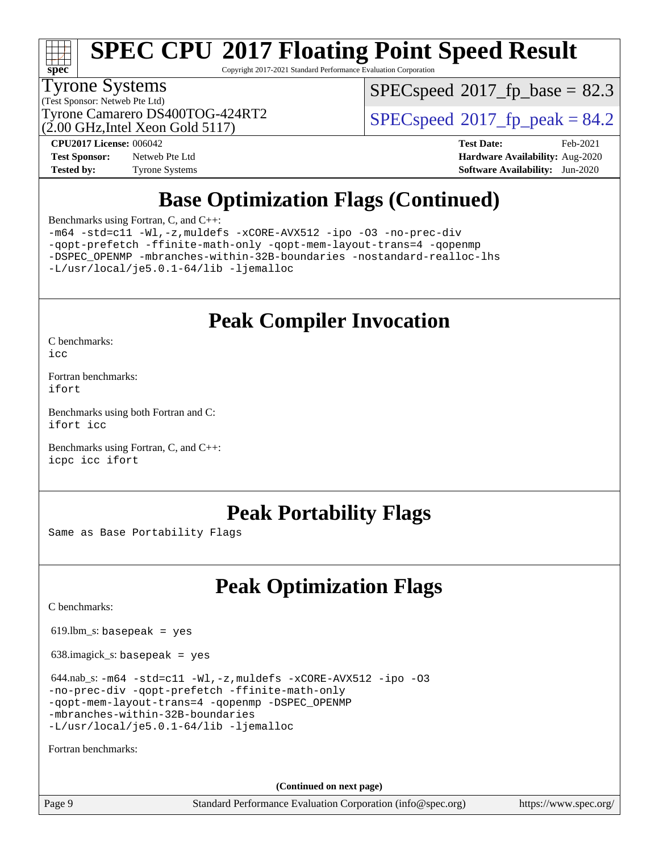

Copyright 2017-2021 Standard Performance Evaluation Corporation

#### Tyrone Systems

(Test Sponsor: Netweb Pte Ltd) (2.00 GHz,Intel Xeon Gold 5117)  $SPECspeed^{\circledcirc}2017$  $SPECspeed^{\circledcirc}2017$  fp base = 82.3

Tyrone Camarero DS400TOG-424RT2  $\vert$  [SPECspeed](http://www.spec.org/auto/cpu2017/Docs/result-fields.html#SPECspeed2017fppeak)®[2017\\_fp\\_peak = 8](http://www.spec.org/auto/cpu2017/Docs/result-fields.html#SPECspeed2017fppeak)4.2

**[Test Sponsor:](http://www.spec.org/auto/cpu2017/Docs/result-fields.html#TestSponsor)** Netweb Pte Ltd **[Hardware Availability:](http://www.spec.org/auto/cpu2017/Docs/result-fields.html#HardwareAvailability)** Aug-2020 **[Tested by:](http://www.spec.org/auto/cpu2017/Docs/result-fields.html#Testedby)** Tyrone Systems **[Software Availability:](http://www.spec.org/auto/cpu2017/Docs/result-fields.html#SoftwareAvailability)** Jun-2020

**[CPU2017 License:](http://www.spec.org/auto/cpu2017/Docs/result-fields.html#CPU2017License)** 006042 **[Test Date:](http://www.spec.org/auto/cpu2017/Docs/result-fields.html#TestDate)** Feb-2021

## **[Base Optimization Flags \(Continued\)](http://www.spec.org/auto/cpu2017/Docs/result-fields.html#BaseOptimizationFlags)**

[Benchmarks using Fortran, C, and C++:](http://www.spec.org/auto/cpu2017/Docs/result-fields.html#BenchmarksusingFortranCandCXX)

[-m64](http://www.spec.org/cpu2017/results/res2021q1/cpu2017-20210227-25027.flags.html#user_CC_CXX_FCbase_m64-icc) [-std=c11](http://www.spec.org/cpu2017/results/res2021q1/cpu2017-20210227-25027.flags.html#user_CC_CXX_FCbase_std-icc-std_0e1c27790398a4642dfca32ffe6c27b5796f9c2d2676156f2e42c9c44eaad0c049b1cdb667a270c34d979996257aeb8fc440bfb01818dbc9357bd9d174cb8524) [-Wl,-z,muldefs](http://www.spec.org/cpu2017/results/res2021q1/cpu2017-20210227-25027.flags.html#user_CC_CXX_FCbase_link_force_multiple1_b4cbdb97b34bdee9ceefcfe54f4c8ea74255f0b02a4b23e853cdb0e18eb4525ac79b5a88067c842dd0ee6996c24547a27a4b99331201badda8798ef8a743f577) [-xCORE-AVX512](http://www.spec.org/cpu2017/results/res2021q1/cpu2017-20210227-25027.flags.html#user_CC_CXX_FCbase_f-xCORE-AVX512) [-ipo](http://www.spec.org/cpu2017/results/res2021q1/cpu2017-20210227-25027.flags.html#user_CC_CXX_FCbase_f-ipo) [-O3](http://www.spec.org/cpu2017/results/res2021q1/cpu2017-20210227-25027.flags.html#user_CC_CXX_FCbase_f-O3) [-no-prec-div](http://www.spec.org/cpu2017/results/res2021q1/cpu2017-20210227-25027.flags.html#user_CC_CXX_FCbase_f-no-prec-div) [-qopt-prefetch](http://www.spec.org/cpu2017/results/res2021q1/cpu2017-20210227-25027.flags.html#user_CC_CXX_FCbase_f-qopt-prefetch) [-ffinite-math-only](http://www.spec.org/cpu2017/results/res2021q1/cpu2017-20210227-25027.flags.html#user_CC_CXX_FCbase_f_finite_math_only_cb91587bd2077682c4b38af759c288ed7c732db004271a9512da14a4f8007909a5f1427ecbf1a0fb78ff2a814402c6114ac565ca162485bbcae155b5e4258871) [-qopt-mem-layout-trans=4](http://www.spec.org/cpu2017/results/res2021q1/cpu2017-20210227-25027.flags.html#user_CC_CXX_FCbase_f-qopt-mem-layout-trans_fa39e755916c150a61361b7846f310bcdf6f04e385ef281cadf3647acec3f0ae266d1a1d22d972a7087a248fd4e6ca390a3634700869573d231a252c784941a8) [-qopenmp](http://www.spec.org/cpu2017/results/res2021q1/cpu2017-20210227-25027.flags.html#user_CC_CXX_FCbase_qopenmp_16be0c44f24f464004c6784a7acb94aca937f053568ce72f94b139a11c7c168634a55f6653758ddd83bcf7b8463e8028bb0b48b77bcddc6b78d5d95bb1df2967) [-DSPEC\\_OPENMP](http://www.spec.org/cpu2017/results/res2021q1/cpu2017-20210227-25027.flags.html#suite_CC_CXX_FCbase_DSPEC_OPENMP) [-mbranches-within-32B-boundaries](http://www.spec.org/cpu2017/results/res2021q1/cpu2017-20210227-25027.flags.html#user_CC_CXX_FCbase_f-mbranches-within-32B-boundaries) [-nostandard-realloc-lhs](http://www.spec.org/cpu2017/results/res2021q1/cpu2017-20210227-25027.flags.html#user_CC_CXX_FCbase_f_2003_std_realloc_82b4557e90729c0f113870c07e44d33d6f5a304b4f63d4c15d2d0f1fab99f5daaed73bdb9275d9ae411527f28b936061aa8b9c8f2d63842963b95c9dd6426b8a) [-L/usr/local/je5.0.1-64/lib](http://www.spec.org/cpu2017/results/res2021q1/cpu2017-20210227-25027.flags.html#user_CC_CXX_FCbase_jemalloc_link_path64_4b10a636b7bce113509b17f3bd0d6226c5fb2346b9178c2d0232c14f04ab830f976640479e5c33dc2bcbbdad86ecfb6634cbbd4418746f06f368b512fced5394) [-ljemalloc](http://www.spec.org/cpu2017/results/res2021q1/cpu2017-20210227-25027.flags.html#user_CC_CXX_FCbase_jemalloc_link_lib_d1249b907c500fa1c0672f44f562e3d0f79738ae9e3c4a9c376d49f265a04b9c99b167ecedbf6711b3085be911c67ff61f150a17b3472be731631ba4d0471706)

## **[Peak Compiler Invocation](http://www.spec.org/auto/cpu2017/Docs/result-fields.html#PeakCompilerInvocation)**

[C benchmarks](http://www.spec.org/auto/cpu2017/Docs/result-fields.html#Cbenchmarks): [icc](http://www.spec.org/cpu2017/results/res2021q1/cpu2017-20210227-25027.flags.html#user_CCpeak_intel_icc_66fc1ee009f7361af1fbd72ca7dcefbb700085f36577c54f309893dd4ec40d12360134090235512931783d35fd58c0460139e722d5067c5574d8eaf2b3e37e92)

[Fortran benchmarks](http://www.spec.org/auto/cpu2017/Docs/result-fields.html#Fortranbenchmarks): [ifort](http://www.spec.org/cpu2017/results/res2021q1/cpu2017-20210227-25027.flags.html#user_FCpeak_intel_ifort_8111460550e3ca792625aed983ce982f94888b8b503583aa7ba2b8303487b4d8a21a13e7191a45c5fd58ff318f48f9492884d4413fa793fd88dd292cad7027ca)

[Benchmarks using both Fortran and C](http://www.spec.org/auto/cpu2017/Docs/result-fields.html#BenchmarksusingbothFortranandC): [ifort](http://www.spec.org/cpu2017/results/res2021q1/cpu2017-20210227-25027.flags.html#user_CC_FCpeak_intel_ifort_8111460550e3ca792625aed983ce982f94888b8b503583aa7ba2b8303487b4d8a21a13e7191a45c5fd58ff318f48f9492884d4413fa793fd88dd292cad7027ca) [icc](http://www.spec.org/cpu2017/results/res2021q1/cpu2017-20210227-25027.flags.html#user_CC_FCpeak_intel_icc_66fc1ee009f7361af1fbd72ca7dcefbb700085f36577c54f309893dd4ec40d12360134090235512931783d35fd58c0460139e722d5067c5574d8eaf2b3e37e92)

[Benchmarks using Fortran, C, and C++:](http://www.spec.org/auto/cpu2017/Docs/result-fields.html#BenchmarksusingFortranCandCXX) [icpc](http://www.spec.org/cpu2017/results/res2021q1/cpu2017-20210227-25027.flags.html#user_CC_CXX_FCpeak_intel_icpc_c510b6838c7f56d33e37e94d029a35b4a7bccf4766a728ee175e80a419847e808290a9b78be685c44ab727ea267ec2f070ec5dc83b407c0218cded6866a35d07) [icc](http://www.spec.org/cpu2017/results/res2021q1/cpu2017-20210227-25027.flags.html#user_CC_CXX_FCpeak_intel_icc_66fc1ee009f7361af1fbd72ca7dcefbb700085f36577c54f309893dd4ec40d12360134090235512931783d35fd58c0460139e722d5067c5574d8eaf2b3e37e92) [ifort](http://www.spec.org/cpu2017/results/res2021q1/cpu2017-20210227-25027.flags.html#user_CC_CXX_FCpeak_intel_ifort_8111460550e3ca792625aed983ce982f94888b8b503583aa7ba2b8303487b4d8a21a13e7191a45c5fd58ff318f48f9492884d4413fa793fd88dd292cad7027ca)

### **[Peak Portability Flags](http://www.spec.org/auto/cpu2017/Docs/result-fields.html#PeakPortabilityFlags)**

Same as Base Portability Flags

## **[Peak Optimization Flags](http://www.spec.org/auto/cpu2017/Docs/result-fields.html#PeakOptimizationFlags)**

[C benchmarks](http://www.spec.org/auto/cpu2017/Docs/result-fields.html#Cbenchmarks):

 $619.$ lbm\_s: basepeak = yes

638.imagick\_s: basepeak = yes

 $644.nab_s: -m64 -std = c11 -W1, -z,$  $644.nab_s: -m64 -std = c11 -W1, -z,$  $644.nab_s: -m64 -std = c11 -W1, -z,$ muldefs  $-xCORE-AVX512 -ipo -03$  $-xCORE-AVX512 -ipo -03$  $-xCORE-AVX512 -ipo -03$  $-xCORE-AVX512 -ipo -03$ [-no-prec-div](http://www.spec.org/cpu2017/results/res2021q1/cpu2017-20210227-25027.flags.html#user_peakCOPTIMIZE644_nab_s_f-no-prec-div) [-qopt-prefetch](http://www.spec.org/cpu2017/results/res2021q1/cpu2017-20210227-25027.flags.html#user_peakCOPTIMIZE644_nab_s_f-qopt-prefetch) [-ffinite-math-only](http://www.spec.org/cpu2017/results/res2021q1/cpu2017-20210227-25027.flags.html#user_peakCOPTIMIZE644_nab_s_f_finite_math_only_cb91587bd2077682c4b38af759c288ed7c732db004271a9512da14a4f8007909a5f1427ecbf1a0fb78ff2a814402c6114ac565ca162485bbcae155b5e4258871) [-qopt-mem-layout-trans=4](http://www.spec.org/cpu2017/results/res2021q1/cpu2017-20210227-25027.flags.html#user_peakCOPTIMIZE644_nab_s_f-qopt-mem-layout-trans_fa39e755916c150a61361b7846f310bcdf6f04e385ef281cadf3647acec3f0ae266d1a1d22d972a7087a248fd4e6ca390a3634700869573d231a252c784941a8) [-qopenmp](http://www.spec.org/cpu2017/results/res2021q1/cpu2017-20210227-25027.flags.html#user_peakCOPTIMIZE644_nab_s_qopenmp_16be0c44f24f464004c6784a7acb94aca937f053568ce72f94b139a11c7c168634a55f6653758ddd83bcf7b8463e8028bb0b48b77bcddc6b78d5d95bb1df2967) [-DSPEC\\_OPENMP](http://www.spec.org/cpu2017/results/res2021q1/cpu2017-20210227-25027.flags.html#suite_peakCOPTIMIZE644_nab_s_DSPEC_OPENMP) [-mbranches-within-32B-boundaries](http://www.spec.org/cpu2017/results/res2021q1/cpu2017-20210227-25027.flags.html#user_peakEXTRA_COPTIMIZE644_nab_s_f-mbranches-within-32B-boundaries) [-L/usr/local/je5.0.1-64/lib](http://www.spec.org/cpu2017/results/res2021q1/cpu2017-20210227-25027.flags.html#user_peakEXTRA_LIBS644_nab_s_jemalloc_link_path64_4b10a636b7bce113509b17f3bd0d6226c5fb2346b9178c2d0232c14f04ab830f976640479e5c33dc2bcbbdad86ecfb6634cbbd4418746f06f368b512fced5394) [-ljemalloc](http://www.spec.org/cpu2017/results/res2021q1/cpu2017-20210227-25027.flags.html#user_peakEXTRA_LIBS644_nab_s_jemalloc_link_lib_d1249b907c500fa1c0672f44f562e3d0f79738ae9e3c4a9c376d49f265a04b9c99b167ecedbf6711b3085be911c67ff61f150a17b3472be731631ba4d0471706)

[Fortran benchmarks](http://www.spec.org/auto/cpu2017/Docs/result-fields.html#Fortranbenchmarks):

**(Continued on next page)**

Page 9 Standard Performance Evaluation Corporation [\(info@spec.org\)](mailto:info@spec.org) <https://www.spec.org/>